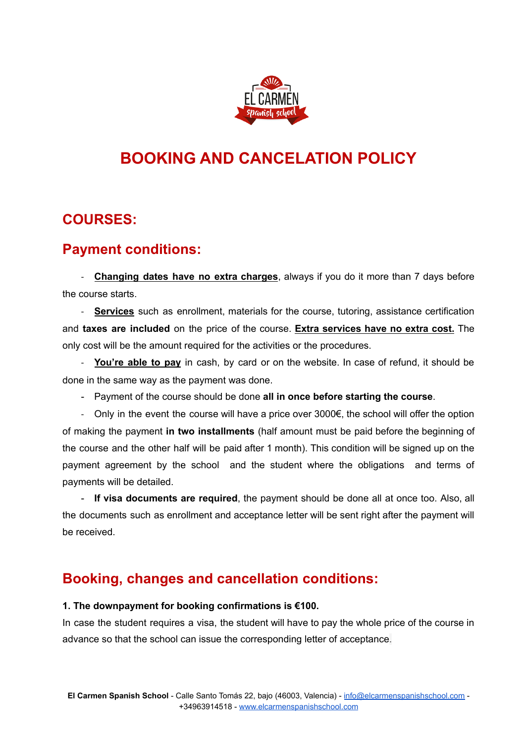

# **BOOKING AND CANCELATION POLICY**

### **COURSES:**

# **Payment conditions:**

- **Changing dates have no extra charges**, always if you do it more than 7 days before the course starts.

- **Services** such as enrollment, materials for the course, tutoring, assistance certification and **taxes are included** on the price of the course. **Extra services have no extra cost.** The only cost will be the amount required for the activities or the procedures.

- **You're able to pay** in cash, by card or on the website. In case of refund, it should be done in the same way as the payment was done.

- Payment of the course should be done **all in once before starting the course**.

- Only in the event the course will have a price over 3000€, the school will offer the option of making the payment **in two installments** (half amount must be paid before the beginning of the course and the other half will be paid after 1 month). This condition will be signed up on the payment agreement by the school and the student where the obligations and terms of payments will be detailed.

- **If visa documents are required**, the payment should be done all at once too. Also, all the documents such as enrollment and acceptance letter will be sent right after the payment will be received.

# **Booking, changes and cancellation conditions:**

#### **1. The downpayment for booking confirmations is €100.**

In case the student requires a visa, the student will have to pay the whole price of the course in advance so that the school can issue the corresponding letter of acceptance.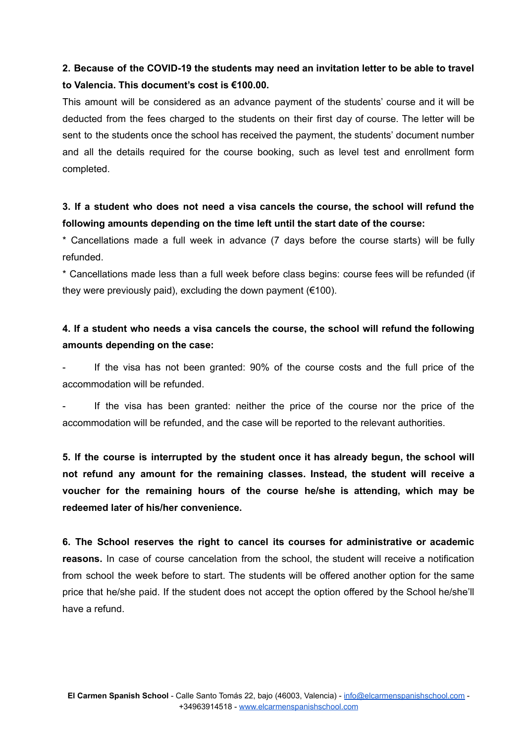#### **2. Because of the COVID-19 the students may need an invitation letter to be able to travel to Valencia. This document's cost is €100.00.**

This amount will be considered as an advance payment of the students' course and it will be deducted from the fees charged to the students on their first day of course. The letter will be sent to the students once the school has received the payment, the students' document number and all the details required for the course booking, such as level test and enrollment form completed.

#### **3. If a student who does not need a visa cancels the course, the school will refund the following amounts depending on the time left until the start date of the course:**

\* Cancellations made a full week in advance (7 days before the course starts) will be fully refunded.

\* Cancellations made less than a full week before class begins: course fees will be refunded (if they were previously paid), excluding the down payment (€100).

#### **4. If a student who needs a visa cancels the course, the school will refund the following amounts depending on the case:**

If the visa has not been granted: 90% of the course costs and the full price of the accommodation will be refunded.

If the visa has been granted: neither the price of the course nor the price of the accommodation will be refunded, and the case will be reported to the relevant authorities.

**5. If the course is interrupted by the student once it has already begun, the school will not refund any amount for the remaining classes. Instead, the student will receive a voucher for the remaining hours of the course he/she is attending, which may be redeemed later of his/her convenience.**

**6. The School reserves the right to cancel its courses for administrative or academic reasons.** In case of course cancelation from the school, the student will receive a notification from school the week before to start. The students will be offered another option for the same price that he/she paid. If the student does not accept the option offered by the School he/she'll have a refund.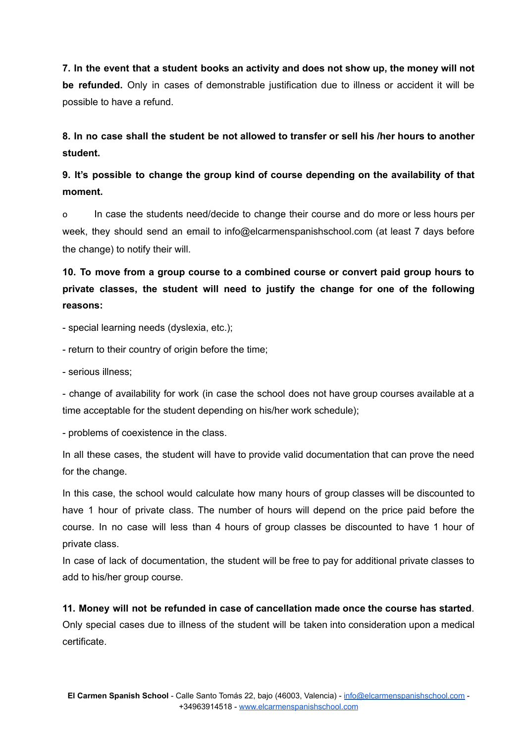**7. In the event that a student books an activity and does not show up, the money will not be refunded.** Only in cases of demonstrable justification due to illness or accident it will be possible to have a refund.

8. In no case shall the student be not allowed to transfer or sell his /her hours to another **student.**

**9. It's possible to change the group kind of course depending on the availability of that moment.**

o In case the students need/decide to change their course and do more or less hours per week, they should send an email to [info@elcarmenspanishschool.com](mailto:info@elcarmenspanishschool.com) (at least 7 days before the change) to notify their will.

**10. To move from a group course to a combined course or convert paid group hours to private classes, the student will need to justify the change for one of the following reasons:**

- special learning needs (dyslexia, etc.);

- return to their country of origin before the time;

- serious illness;

- change of availability for work (in case the school does not have group courses available at a time acceptable for the student depending on his/her work schedule);

- problems of coexistence in the class.

In all these cases, the student will have to provide valid documentation that can prove the need for the change.

In this case, the school would calculate how many hours of group classes will be discounted to have 1 hour of private class. The number of hours will depend on the price paid before the course. In no case will less than 4 hours of group classes be discounted to have 1 hour of private class.

In case of lack of documentation, the student will be free to pay for additional private classes to add to his/her group course.

**11. Money will not be refunded in case of cancellation made once the course has started**. Only special cases due to illness of the student will be taken into consideration upon a medical certificate.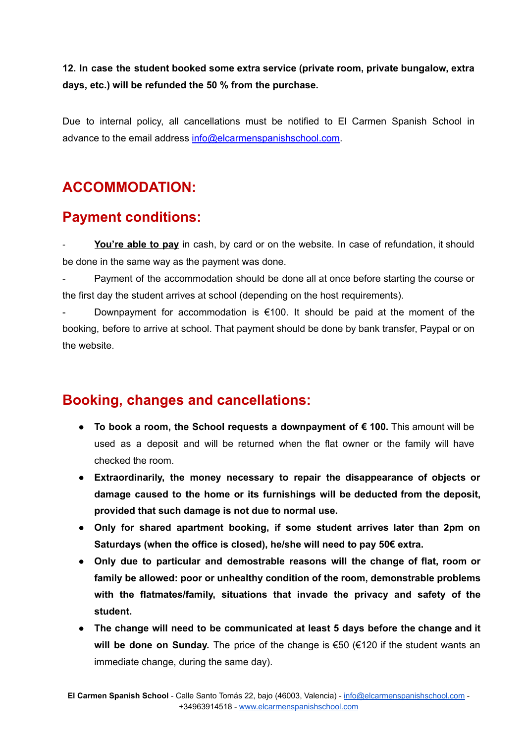**12. In case the student booked some extra service (private room, private bungalow, extra days, etc.) will be refunded the 50 % from the purchase.**

Due to internal policy, all cancellations must be notified to El Carmen Spanish School in advance to the email address [info@elcarmenspanishschool.com](mailto:info@elcarmenspanishschool.com).

# **ACCOMMODATION:**

### **Payment conditions:**

You're able to pay in cash, by card or on the website. In case of refundation, it should be done in the same way as the payment was done.

Payment of the accommodation should be done all at once before starting the course or the first day the student arrives at school (depending on the host requirements).

Downpayment for accommodation is  $\epsilon$ 100. It should be paid at the moment of the booking, before to arrive at school. That payment should be done by bank transfer, Paypal or on the website.

# **Booking, changes and cancellations:**

- **● To book a room, the School requests a downpayment of € 100.** This amount will be used as a deposit and will be returned when the flat owner or the family will have checked the room.
- **● Extraordinarily, the money necessary to repair the disappearance of objects or damage caused to the home or its furnishings will be deducted from the deposit, provided that such damage is not due to normal use.**
- **● Only for shared apartment booking, if some student arrives later than 2pm on Saturdays (when the office is closed), he/she will need to pay 50€ extra.**
- **● Only due to particular and demostrable reasons will the change of flat, room or family be allowed: poor or unhealthy condition of the room, demonstrable problems with the flatmates/family, situations that invade the privacy and safety of the student.**
- **● The change will need to be communicated at least 5 days before the change and it will be done on Sunday.** The price of the change is €50 (€120 if the student wants an immediate change, during the same day).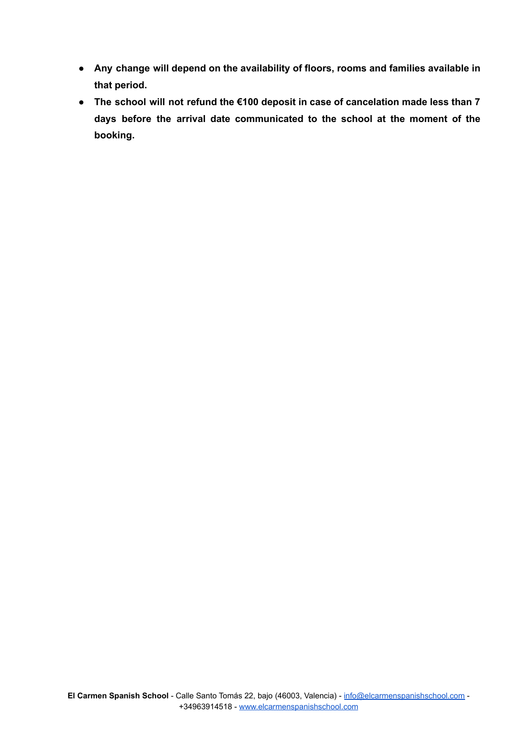- **● Any change will depend on the availability of floors, rooms and families available in that period.**
- **● The school will not refund the €100 deposit in case of cancelation made less than 7 days before the arrival date communicated to the school at the moment of the booking.**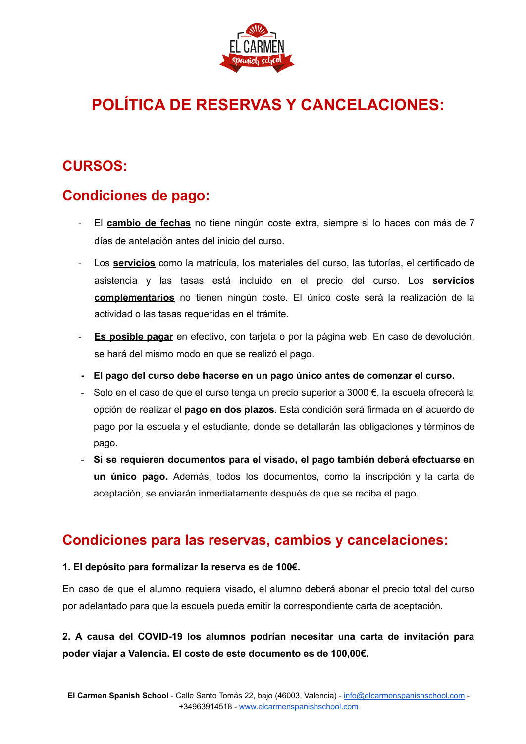

# **POLÍTICA DE RESERVAS Y CANCELACIONES:**

# **CURSOS:**

# **Condiciones de pago:**

- El **cambio de fechas** no tiene ningún coste extra, siempre si lo haces con más de 7 días de antelación antes del inicio del curso.
- Los **servicios** como la matrícula, los materiales del curso, las tutorías, el certificado de asistencia y las tasas está incluido en el precio del curso. Los **servicios complementarios** no tienen ningún coste. El único coste será la realización de la actividad o las tasas requeridas en el trámite.
- **Es posible pagar** en efectivo, con tarjeta o por la página web. En caso de devolución, se hará del mismo modo en que se realizó el pago.
- **- El pago del curso debe hacerse en un pago único antes de comenzar el curso.**
- Solo en el caso de que el curso tenga un precio superior a 3000 €, la escuela ofrecerá la opción de realizar el **pago en dos plazos**. Esta condición será firmada en el acuerdo de pago por la escuela y el estudiante, donde se detallarán las obligaciones y términos de pago.
- **Si se requieren documentos para el visado, el pago también deberá efectuarse en un único pago.** Además, todos los documentos, como la inscripción y la carta de aceptación, se enviarán inmediatamente después de que se reciba el pago.

### **Condiciones para las reservas, cambios y cancelaciones:**

#### **1. El depósito para formalizar la reserva es de 100€.**

En caso de que el alumno requiera visado, el alumno deberá abonar el precio total del curso por adelantado para que la escuela pueda emitir la correspondiente carta de aceptación.

**2. A causa del COVID-19 los alumnos podrían necesitar una carta de invitación para poder viajar a Valencia. El coste de este documento es de 100,00€.**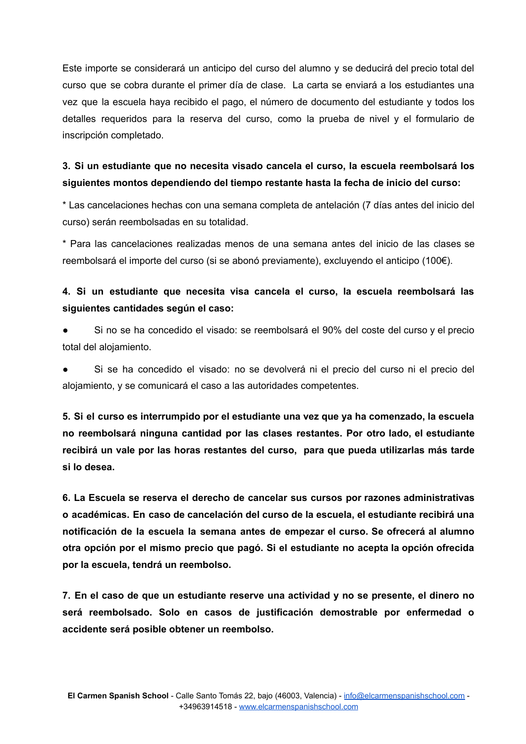Este importe se considerará un anticipo del curso del alumno y se deducirá del precio total del curso que se cobra durante el primer día de clase. La carta se enviará a los estudiantes una vez que la escuela haya recibido el pago, el número de documento del estudiante y todos los detalles requeridos para la reserva del curso, como la prueba de nivel y el formulario de inscripción completado.

#### **3. Si un estudiante que no necesita visado cancela el curso, la escuela reembolsará los siguientes montos dependiendo del tiempo restante hasta la fecha de inicio del curso:**

\* Las cancelaciones hechas con una semana completa de antelación (7 días antes del inicio del curso) serán reembolsadas en su totalidad.

\* Para las cancelaciones realizadas menos de una semana antes del inicio de las clases se reembolsará el importe del curso (si se abonó previamente), excluyendo el anticipo (100€).

#### **4. Si un estudiante que necesita visa cancela el curso, la escuela reembolsará las siguientes cantidades según el caso:**

Si no se ha concedido el visado: se reembolsará el 90% del coste del curso y el precio total del alojamiento.

**●** Si se ha concedido el visado: no se devolverá ni el precio del curso ni el precio del alojamiento, y se comunicará el caso a las autoridades competentes.

**5. Si el curso es interrumpido por el estudiante una vez que ya ha comenzado, la escuela no reembolsará ninguna cantidad por las clases restantes. Por otro lado, el estudiante recibirá un vale por las horas restantes del curso, para que pueda utilizarlas más tarde si lo desea.**

**6. La Escuela se reserva el derecho de cancelar sus cursos por razones administrativas o académicas. En caso de cancelación del curso de la escuela, el estudiante recibirá una notificación de la escuela la semana antes de empezar el curso. Se ofrecerá al alumno otra opción por el mismo precio que pagó. Si el estudiante no acepta la opción ofrecida por la escuela, tendrá un reembolso.**

**7. En el caso de que un estudiante reserve una actividad y no se presente, el dinero no será reembolsado. Solo en casos de justificación demostrable por enfermedad o accidente será posible obtener un reembolso.**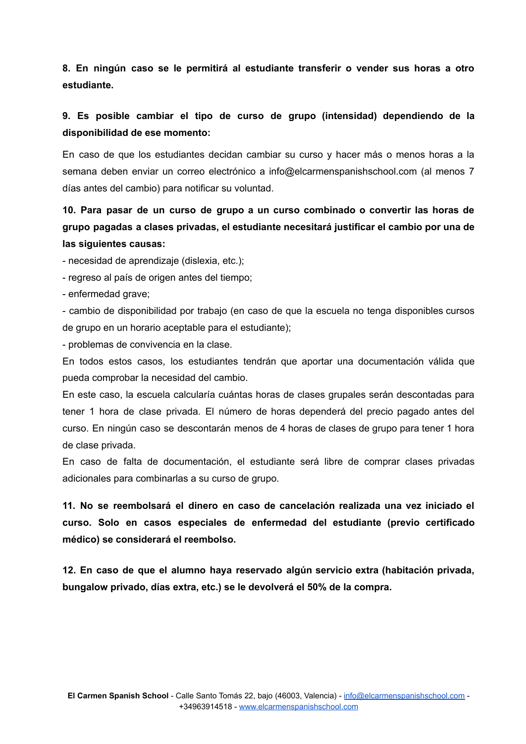**8. En ningún caso se le permitirá al estudiante transferir o vender sus horas a otro estudiante.**

#### **9. Es posible cambiar el tipo de curso de grupo (intensidad) dependiendo de la disponibilidad de ese momento:**

En caso de que los estudiantes decidan cambiar su curso y hacer más o menos horas a la semana deben enviar un correo electrónico a info@elcarmenspanishschool.com (al menos 7 días antes del cambio) para notificar su voluntad.

#### **10. Para pasar de un curso de grupo a un curso combinado o convertir las horas de grupo pagadas a clases privadas, el estudiante necesitará justificar el cambio por una de las siguientes causas:**

- necesidad de aprendizaje (dislexia, etc.);

- regreso al país de origen antes del tiempo;
- enfermedad grave;

- cambio de disponibilidad por trabajo (en caso de que la escuela no tenga disponibles cursos de grupo en un horario aceptable para el estudiante);

- problemas de convivencia en la clase.

En todos estos casos, los estudiantes tendrán que aportar una documentación válida que pueda comprobar la necesidad del cambio.

En este caso, la escuela calcularía cuántas horas de clases grupales serán descontadas para tener 1 hora de clase privada. El número de horas dependerá del precio pagado antes del curso. En ningún caso se descontarán menos de 4 horas de clases de grupo para tener 1 hora de clase privada.

En caso de falta de documentación, el estudiante será libre de comprar clases privadas adicionales para combinarlas a su curso de grupo.

**11. No se reembolsará el dinero en caso de cancelación realizada una vez iniciado el curso. Solo en casos especiales de enfermedad del estudiante (previo certificado médico) se considerará el reembolso.**

**12. En caso de que el alumno haya reservado algún servicio extra (habitación privada, bungalow privado, días extra, etc.) se le devolverá el 50% de la compra.**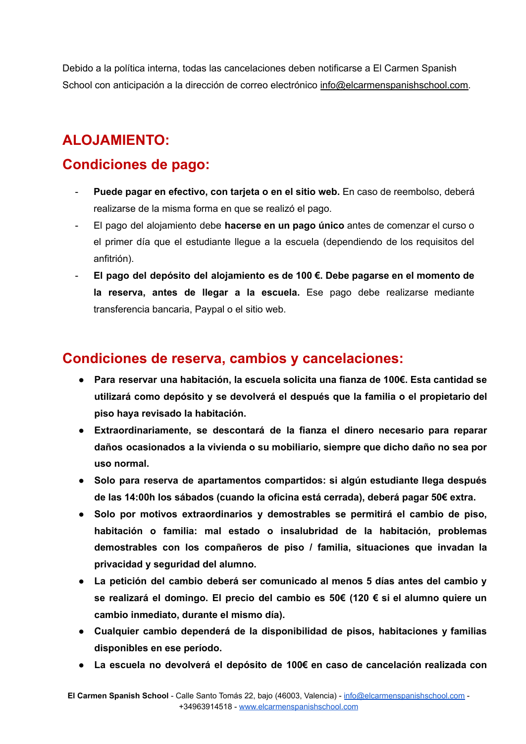Debido a la política interna, todas las cancelaciones deben notificarse a El Carmen Spanish School con anticipación a la dirección de correo electrónico [info@elcarmenspanishschool.com.](mailto:info@elcarmenspanishschool.com)

# **ALOJAMIENTO:**

# **Condiciones de pago:**

- **Puede pagar en efectivo, con tarjeta o en el sitio web.** En caso de reembolso, deberá realizarse de la misma forma en que se realizó el pago.
- El pago del alojamiento debe **hacerse en un pago único** antes de comenzar el curso o el primer día que el estudiante llegue a la escuela (dependiendo de los requisitos del anfitrión).
- **El pago del depósito del alojamiento es de 100 €. Debe pagarse en el momento de la reserva, antes de llegar a la escuela.** Ese pago debe realizarse mediante transferencia bancaria, Paypal o el sitio web.

### **Condiciones de reserva, cambios y cancelaciones:**

- **● Para reservar una habitación, la escuela solicita una fianza de 100€. Esta cantidad se utilizará como depósito y se devolverá el después que la familia o el propietario del piso haya revisado la habitación.**
- **● Extraordinariamente, se descontará de la fianza el dinero necesario para reparar daños ocasionados a la vivienda o su mobiliario, siempre que dicho daño no sea por uso normal.**
- **● Solo para reserva de apartamentos compartidos: si algún estudiante llega después de las 14:00h los sábados (cuando la oficina está cerrada), deberá pagar 50€ extra.**
- **● Solo por motivos extraordinarios y demostrables se permitirá el cambio de piso, habitación o familia: mal estado o insalubridad de la habitación, problemas demostrables con los compañeros de piso / familia, situaciones que invadan la privacidad y seguridad del alumno.**
- **● La petición del cambio deberá ser comunicado al menos 5 días antes del cambio y se realizará el domingo. El precio del cambio es 50€ (120 € si el alumno quiere un cambio inmediato, durante el mismo día).**
- **● Cualquier cambio dependerá de la disponibilidad de pisos, habitaciones y familias disponibles en ese período.**
- **● La escuela no devolverá el depósito de 100€ en caso de cancelación realizada con**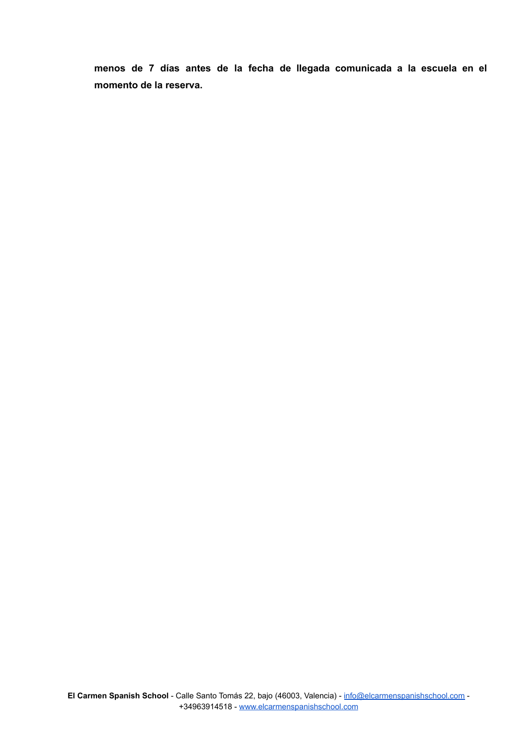**menos de 7 días antes de la fecha de llegada comunicada a la escuela en el momento de la reserva.**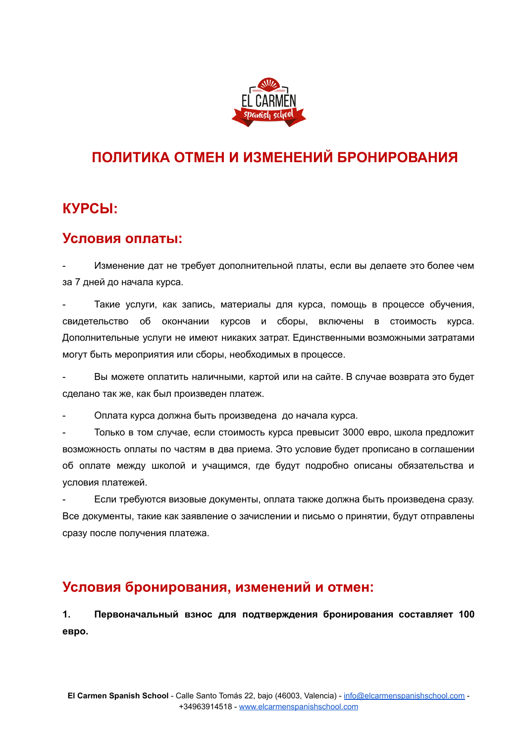

# **ПОЛИТИКА ОТМЕН И ИЗМЕНЕНИЙ БРОНИРОВАНИЯ**

# **КУРСЫ:**

#### **Условия оплаты:**

Изменение дат не требует дополнительной платы, если вы делаете это более чем за 7 дней до начала курса.

Такие услуги, как запись, материалы для курса, помощь в процессе обучения, свидетельство об окончании курсов и сборы, включены в стоимость курса. Дополнительные услуги не имеют никаких затрат. Единственными возможными затратами могут быть мероприятия или сборы, необходимых в процессе.

- Вы можете оплатить наличными, картой или на сайте. В случае возврата это будет сделано так же, как был произведен платеж.

- Оплата курса должна быть произведена до начала курса.

- Только в том случае, если стоимость курса превысит 3000 евро, школа предложит возможность оплаты по частям в два приема. Это условие будет прописано в соглашении об оплате между школой и учащимся, где будут подробно описаны обязательства и условия платежей.

- Если требуются визовые документы, оплата также должна быть произведена сразу. Все документы, такие как заявление о зачислении и письмо о принятии, будут отправлены сразу после получения платежа.

### **Условия бронирования, изменений и отмен:**

**1. Первоначальный взнос для подтверждения бронирования составляет 100 евро.**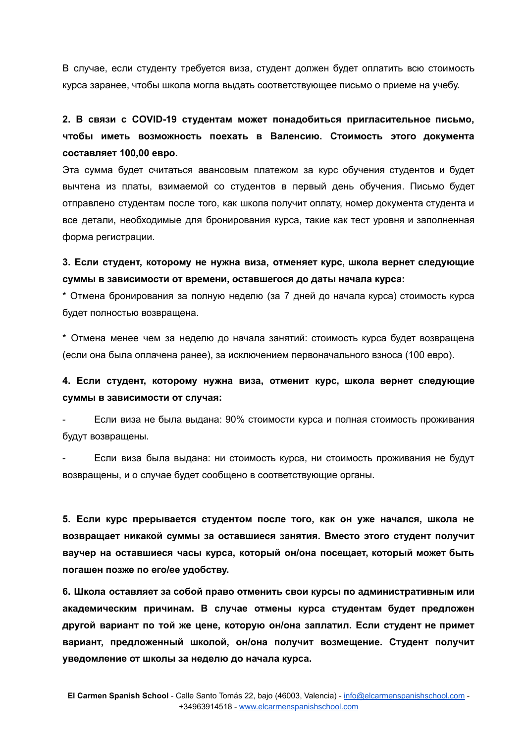В случае, если студенту требуется виза, студент должен будет оплатить всю стоимость курса заранее, чтобы школа могла выдать соответствующее письмо о приеме на учебу.

**2. В связи с COVID-19 студентам может понадобиться пригласительное письмо, чтобы иметь возможность поехать в Валенсию. Стоимость этого документа составляет 100,00 евро.**

Эта сумма будет считаться авансовым платежом за курс обучения студентов и будет вычтена из платы, взимаемой со студентов в первый день обучения. Письмо будет отправлено студентам после того, как школа получит оплату, номер документа студента и все детали, необходимые для бронирования курса, такие как тест уровня и заполненная форма регистрации.

**3. Если студент, которому не нужна виза, отменяет курс, школа вернет следующие суммы в зависимости от времени, оставшегося до даты начала курса:**

\* Отмена бронирования за полную неделю (за 7 дней до начала курса) стоимость курса будет полностью возвращена.

\* Отмена менее чем за неделю до начала занятий: стоимость курса будет возвращена (если она была оплачена ранее), за исключением первоначального взноса (100 евро).

#### **4. Если студент, которому нужна виза, отменит курс, школа вернет следующие суммы в зависимости от случая:**

- Если виза не была выдана: 90% стоимости курса и полная стоимость проживания будут возвращены.

Если виза была выдана: ни стоимость курса, ни стоимость проживания не будут возвращены, и о случае будет сообщено в соответствующие органы.

**5. Если курс прерывается студентом после того, как он уже начался, школа не возвращает никакой суммы за оставшиеся занятия. Вместо этого студент получит ваучер на оставшиеся часы курса, который он/она посещает, который может быть погашен позже по его/ее удобству.**

**6. Школа оставляет за собой право отменить свои курсы по административным или академическим причинам. В случае отмены курса студентам будет предложен другой вариант по той же цене, которую он/она заплатил. Если студент не примет вариант, предложенный школой, он/она получит возмещение. Студент получит уведомление от школы за неделю до начала курса.**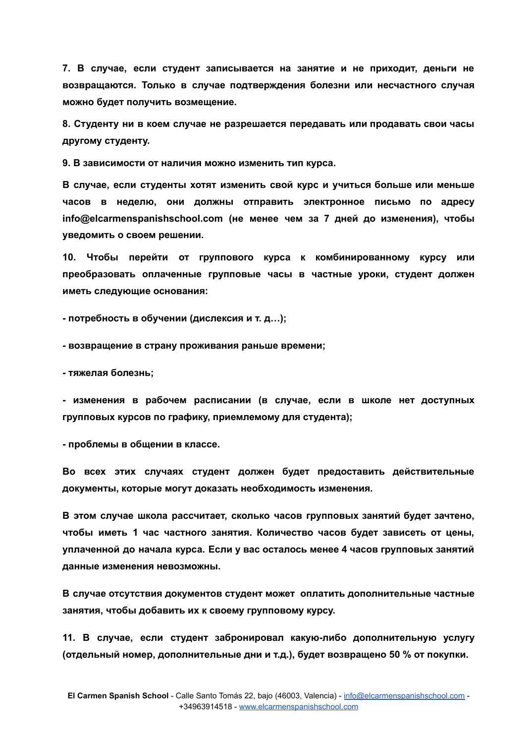**7. В случае, если студент записывается на занятие и не приходит, деньги не возвращаются. Только в случае подтверждения болезни или несчастного случая можно будет получить возмещение.**

**8. Студенту ни в коем случае не разрешается передавать или продавать свои часы другому студенту.**

**9. В зависимости от наличия можно изменить тип курса.**

**В случае, если студенты хотят изменить свой курс и учиться больше или меньше часов в неделю, они должны отправить электронное письмо по адресу info@elcarmenspanishschool.com (не менее чем за 7 дней до изменения), чтобы уведомить о своем решении.**

**10. Чтобы перейти от группового курса к комбинированному курсу или преобразовать оплаченные групповые часы в частные уроки, студент должен иметь следующие основания:**

**- потребность в обучении (дислексия и т. д…);**

**- возвращение в страну проживания раньше времени;**

**- тяжелая болезнь;**

**- изменения в рабочем расписании (в случае, если в школе нет доступных групповых курсов по графику, приемлемому для студента);**

**- проблемы в общении в классе.**

**Во всех этих случаях студент должен будет предоставить действительные документы, которые могут доказать необходимость изменения.**

**В этом случае школа рассчитает, сколько часов групповых занятий будет зачтено, чтобы иметь 1 час частного занятия. Количество часов будет зависеть от цены, уплаченной до начала курса. Если у вас осталось менее 4 часов групповых занятий данные изменения невозможны.**

**В случае отсутствия документов студент может оплатить дополнительные частные занятия, чтобы добавить их к своему групповому курсу.**

**11. В случае, если студент забронировал какую-либо дополнительную услугу (отдельный номер, дополнительные дни и т.д.), будет возвращено 50 % от покупки.**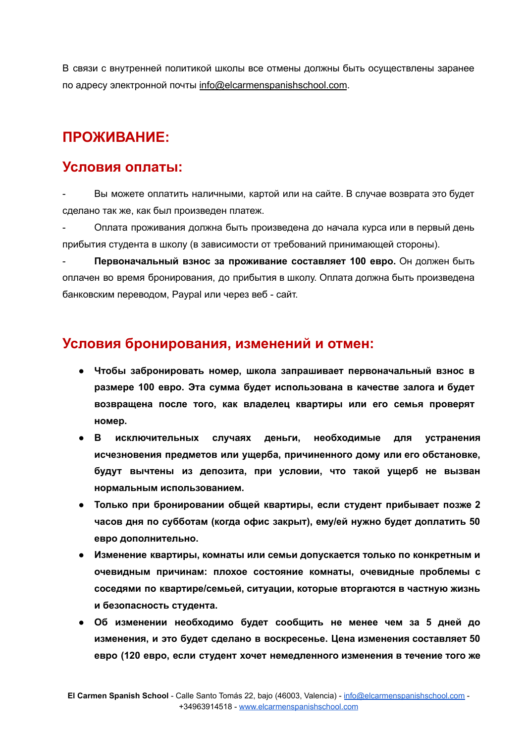В связи с внутренней политикой школы все отмены должны быть осуществлены заранее по адресу электронной почты [info@elcarmenspanishschool.com](mailto:info@elcarmenspanishschool.com).

# **ПРОЖИВАНИЕ:**

#### **Условия оплаты:**

- Вы можете оплатить наличными, картой или на сайте. В случае возврата это будет сделано так же, как был произведен платеж.

- Оплата проживания должна быть произведена до начала курса или в первый день прибытия студента в школу (в зависимости от требований принимающей стороны).

- **Первоначальный взнос за проживание составляет 100 евро.** Он должен быть оплачен во время бронирования, до прибытия в школу. Оплата должна быть произведена банковским переводом, Paypal или через веб - сайт.

### **Условия бронирования, изменений и отмен:**

- **● Чтобы забронировать номер, школа запрашивает первоначальный взнос в размере 100 евро. Эта сумма будет использована в качестве залога и будет возвращена после того, как владелец квартиры или его семья проверят номер.**
- **● В исключительных случаях деньги, необходимые для устранения исчезновения предметов или ущерба, причиненного дому или его обстановке, будут вычтены из депозита, при условии, что такой ущерб не вызван нормальным использованием.**
- **● Только при бронировании общей квартиры, если студент прибывает позже 2 часов дня по субботам (когда офис закрыт), ему/ей нужно будет доплатить 50 евро дополнительно.**
- **● Изменение квартиры, комнаты или семьи допускается только по конкретным и очевидным причинам: плохое состояние комнаты, очевидные проблемы с соседями по квартире/семьей, ситуации, которые вторгаются в частную жизнь и безопасность студента.**
- **● Об изменении необходимо будет сообщить не менее чем за 5 дней до изменения, и это будет сделано в воскресенье. Цена изменения составляет 50 евро (120 евро, если студент хочет немедленного изменения в течение того же**